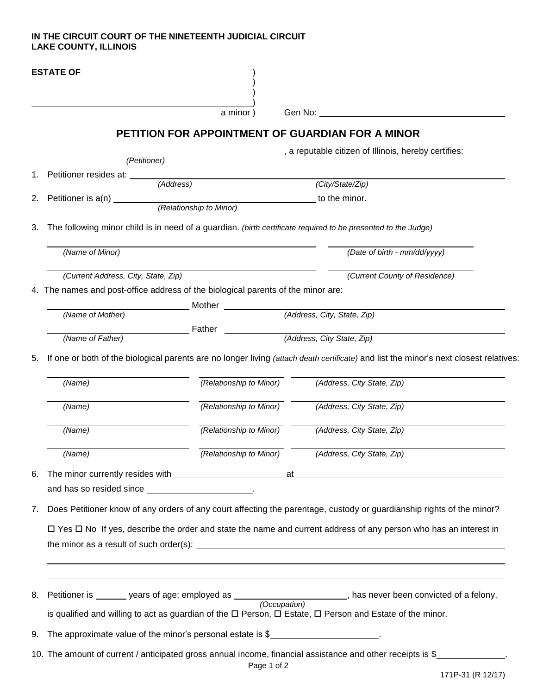## **IN THE CIRCUIT COURT OF THE NINETEENTH JUDICIAL CIRCUIT LAKE COUNTY, ILLINOIS**

|    | <b>ESTATE OF</b>                                                                                                      |                         |                                                                                                                                       |  |
|----|-----------------------------------------------------------------------------------------------------------------------|-------------------------|---------------------------------------------------------------------------------------------------------------------------------------|--|
|    |                                                                                                                       | a minor)                | Gen No:                                                                                                                               |  |
|    |                                                                                                                       |                         | PETITION FOR APPOINTMENT OF GUARDIAN FOR A MINOR                                                                                      |  |
|    |                                                                                                                       |                         | a reputable citizen of Illinois, hereby certifies:                                                                                    |  |
|    | (Petitioner)                                                                                                          |                         |                                                                                                                                       |  |
| 1. | Petitioner resides at: _______<br>(Address)                                                                           |                         | (City/State/Zip)                                                                                                                      |  |
| 2. |                                                                                                                       |                         | to the minor.                                                                                                                         |  |
|    |                                                                                                                       |                         |                                                                                                                                       |  |
| 3. | The following minor child is in need of a guardian. (birth certificate required to be presented to the Judge)         |                         |                                                                                                                                       |  |
|    | (Name of Minor)                                                                                                       |                         | (Date of birth - mm/dd/yyyy)                                                                                                          |  |
|    | (Current Address, City, State, Zip)                                                                                   |                         | (Current County of Residence)                                                                                                         |  |
|    | 4. The names and post-office address of the biological parents of the minor are:                                      |                         |                                                                                                                                       |  |
|    |                                                                                                                       | Mother                  |                                                                                                                                       |  |
|    | (Name of Mother)                                                                                                      |                         | (Address, City, State, Zip)                                                                                                           |  |
|    | (Name of Father)                                                                                                      | Father                  | (Address, City State, Zip)                                                                                                            |  |
|    |                                                                                                                       |                         |                                                                                                                                       |  |
| 5. |                                                                                                                       |                         | If one or both of the biological parents are no longer living (attach death certificate) and list the minor's next closest relatives: |  |
|    | (Name)                                                                                                                | (Relationship to Minor) | (Address, City State, Zip)                                                                                                            |  |
|    | (Name)                                                                                                                | (Relationship to Minor) | (Address, City State, Zip)                                                                                                            |  |
|    | (Name)                                                                                                                | (Relationship to Minor) | (Address, City State, Zip)                                                                                                            |  |
|    | (Name)                                                                                                                | (Relationship to Minor) | (Address, City State, Zip)                                                                                                            |  |
| 6. |                                                                                                                       |                         |                                                                                                                                       |  |
|    | and has so resided since _________________________.                                                                   |                         |                                                                                                                                       |  |
| 7. | Does Petitioner know of any orders of any court affecting the parentage, custody or guardianship rights of the minor? |                         |                                                                                                                                       |  |
|    | □ Yes □ No If yes, describe the order and state the name and current address of any person who has an interest in     |                         |                                                                                                                                       |  |
|    |                                                                                                                       |                         |                                                                                                                                       |  |
|    |                                                                                                                       |                         |                                                                                                                                       |  |
|    |                                                                                                                       |                         |                                                                                                                                       |  |
| 8. | Petitioner is _______ years of age; employed as __________________________, has never been convicted of a felony,     |                         |                                                                                                                                       |  |
|    |                                                                                                                       |                         | is qualified and willing to act as guardian of the $\Box$ Person, $\Box$ Estate, $\Box$ Person and Estate of the minor.               |  |
| 9. | The approximate value of the minor's personal estate is \$                                                            |                         |                                                                                                                                       |  |
|    |                                                                                                                       |                         | 10. The amount of current / anticipated gross annual income, financial assistance and other receipts is \$                            |  |
|    |                                                                                                                       | Page 1 of 2             |                                                                                                                                       |  |